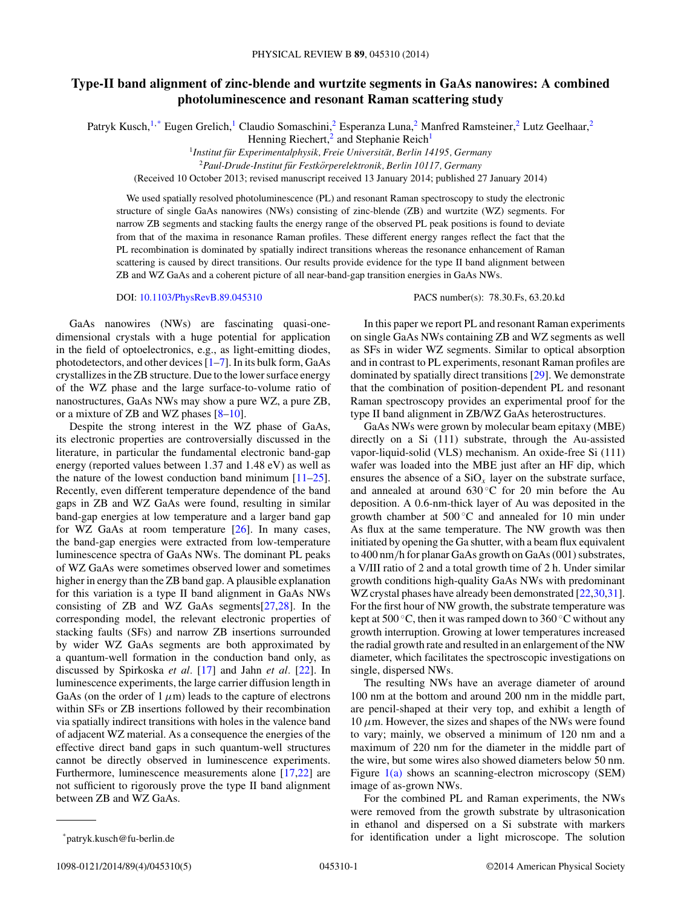## **Type-II band alignment of zinc-blende and wurtzite segments in GaAs nanowires: A combined photoluminescence and resonant Raman scattering study**

Patryk Kusch,<sup>1,\*</sup> Eugen Grelich,<sup>1</sup> Claudio Somaschini,<sup>2</sup> Esperanza Luna,<sup>2</sup> Manfred Ramsteiner,<sup>2</sup> Lutz Geelhaar,<sup>2</sup>

Henning Riechert,<sup>2</sup> and Stephanie Reich<sup>1</sup>

<sup>1</sup> Institut für Experimentalphysik, Freie Universität, Berlin 14195, Germany

<sup>2</sup>*Paul-Drude-Institut fur Festk ¨ orperelektronik, Berlin 10117, Germany ¨*

(Received 10 October 2013; revised manuscript received 13 January 2014; published 27 January 2014)

We used spatially resolved photoluminescence (PL) and resonant Raman spectroscopy to study the electronic structure of single GaAs nanowires (NWs) consisting of zinc-blende (ZB) and wurtzite (WZ) segments. For narrow ZB segments and stacking faults the energy range of the observed PL peak positions is found to deviate from that of the maxima in resonance Raman profiles. These different energy ranges reflect the fact that the PL recombination is dominated by spatially indirect transitions whereas the resonance enhancement of Raman scattering is caused by direct transitions. Our results provide evidence for the type II band alignment between ZB and WZ GaAs and a coherent picture of all near-band-gap transition energies in GaAs NWs.

DOI: [10.1103/PhysRevB.89.045310](http://dx.doi.org/10.1103/PhysRevB.89.045310) PACS number(s): 78*.*30*.*Fs*,* 63*.*20*.*kd

GaAs nanowires (NWs) are fascinating quasi-onedimensional crystals with a huge potential for application in the field of optoelectronics, e.g., as light-emitting diodes, photodetectors, and other devices [\[1–7\]](#page-4-0). In its bulk form, GaAs crystallizes in the ZB structure. Due to the lower surface energy of the WZ phase and the large surface-to-volume ratio of nanostructures, GaAs NWs may show a pure WZ, a pure ZB, or a mixture of ZB and WZ phases [\[8–10\]](#page-4-0).

Despite the strong interest in the WZ phase of GaAs, its electronic properties are controversially discussed in the literature, in particular the fundamental electronic band-gap energy (reported values between 1*.*37 and 1*.*48 eV) as well as the nature of the lowest conduction band minimum  $[11–25]$ . Recently, even different temperature dependence of the band gaps in ZB and WZ GaAs were found, resulting in similar band-gap energies at low temperature and a larger band gap for WZ GaAs at room temperature [\[26\]](#page-4-0). In many cases, the band-gap energies were extracted from low-temperature luminescence spectra of GaAs NWs. The dominant PL peaks of WZ GaAs were sometimes observed lower and sometimes higher in energy than the ZB band gap. A plausible explanation for this variation is a type II band alignment in GaAs NWs consisting of ZB and WZ GaAs segments[\[27,28\]](#page-4-0). In the corresponding model, the relevant electronic properties of stacking faults (SFs) and narrow ZB insertions surrounded by wider WZ GaAs segments are both approximated by a quantum-well formation in the conduction band only, as discussed by Spirkoska *et al.* [\[17\]](#page-4-0) and Jahn *et al.* [\[22\]](#page-4-0). In luminescence experiments, the large carrier diffusion length in GaAs (on the order of  $1 \mu m$ ) leads to the capture of electrons within SFs or ZB insertions followed by their recombination via spatially indirect transitions with holes in the valence band of adjacent WZ material. As a consequence the energies of the effective direct band gaps in such quantum-well structures cannot be directly observed in luminescence experiments. Furthermore, luminescence measurements alone [\[17,22\]](#page-4-0) are not sufficient to rigorously prove the type II band alignment between ZB and WZ GaAs.

In this paper we report PL and resonant Raman experiments on single GaAs NWs containing ZB and WZ segments as well as SFs in wider WZ segments. Similar to optical absorption and in contrast to PL experiments, resonant Raman profiles are dominated by spatially direct transitions [\[29\]](#page-4-0). We demonstrate that the combination of position-dependent PL and resonant Raman spectroscopy provides an experimental proof for the type II band alignment in ZB/WZ GaAs heterostructures.

GaAs NWs were grown by molecular beam epitaxy (MBE) directly on a Si (111) substrate, through the Au-assisted vapor-liquid-solid (VLS) mechanism. An oxide-free Si (111) wafer was loaded into the MBE just after an HF dip, which ensures the absence of a  $SiO<sub>x</sub>$  layer on the substrate surface, and annealed at around  $630\degree C$  for 20 min before the Au deposition. A 0*.*6-nm-thick layer of Au was deposited in the growth chamber at  $500^{\circ}$ C and annealed for 10 min under As flux at the same temperature. The NW growth was then initiated by opening the Ga shutter, with a beam flux equivalent to 400 nm*/*h for planar GaAs growth on GaAs (001) substrates, a V/III ratio of 2 and a total growth time of 2 h. Under similar growth conditions high-quality GaAs NWs with predominant WZ crystal phases have already been demonstrated [\[22,30,31\]](#page-4-0). For the first hour of NW growth, the substrate temperature was kept at  $500\,^{\circ}\text{C}$ , then it was ramped down to  $360\,^{\circ}\text{C}$  without any growth interruption. Growing at lower temperatures increased the radial growth rate and resulted in an enlargement of the NW diameter, which facilitates the spectroscopic investigations on single, dispersed NWs.

The resulting NWs have an average diameter of around 100 nm at the bottom and around 200 nm in the middle part, are pencil-shaped at their very top, and exhibit a length of  $10 \mu$ m. However, the sizes and shapes of the NWs were found to vary; mainly, we observed a minimum of 120 nm and a maximum of 220 nm for the diameter in the middle part of the wire, but some wires also showed diameters below 50 nm. Figure [1\(a\)](#page-1-0) shows an scanning-electron microscopy (SEM) image of as-grown NWs.

For the combined PL and Raman experiments, the NWs were removed from the growth substrate by ultrasonication in ethanol and dispersed on a Si substrate with markers for identification under a light microscope. The solution

<sup>\*</sup>patryk.kusch@fu-berlin.de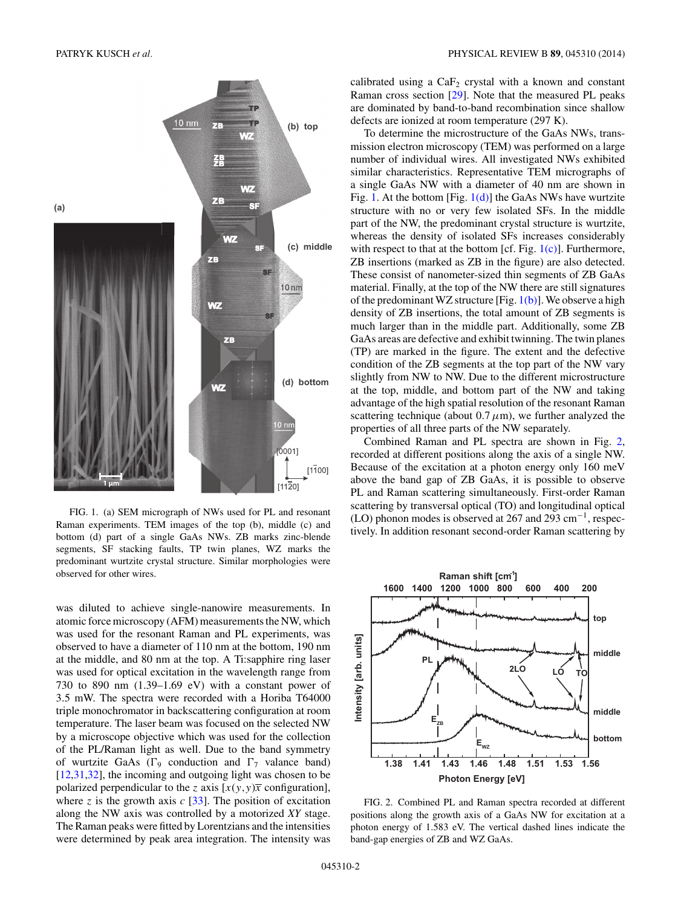<span id="page-1-0"></span>

FIG. 1. (a) SEM micrograph of NWs used for PL and resonant Raman experiments. TEM images of the top (b), middle (c) and bottom (d) part of a single GaAs NWs. ZB marks zinc-blende segments, SF stacking faults, TP twin planes, WZ marks the predominant wurtzite crystal structure. Similar morphologies were observed for other wires.

was diluted to achieve single-nanowire measurements. In atomic force microscopy (AFM) measurements the NW, which was used for the resonant Raman and PL experiments, was observed to have a diameter of 110 nm at the bottom, 190 nm at the middle, and 80 nm at the top. A Ti:sapphire ring laser was used for optical excitation in the wavelength range from 730 to 890 nm (1.39–1.69 eV) with a constant power of 3*.*5 mW. The spectra were recorded with a Horiba T64000 triple monochromator in backscattering configuration at room temperature. The laser beam was focused on the selected NW by a microscope objective which was used for the collection of the PL/Raman light as well. Due to the band symmetry of wurtzite GaAs ( $\Gamma$ <sup>9</sup> conduction and  $\Gamma$ <sup>7</sup> valance band) [\[12,31,32\]](#page-4-0), the incoming and outgoing light was chosen to be polarized perpendicular to the *z* axis  $[x(y, y)\overline{x}$  configuration], where  $z$  is the growth axis  $c$  [\[33\]](#page-4-0). The position of excitation along the NW axis was controlled by a motorized *XY* stage. The Raman peaks were fitted by Lorentzians and the intensities were determined by peak area integration. The intensity was calibrated using a  $CaF<sub>2</sub>$  crystal with a known and constant Raman cross section [\[29\]](#page-4-0). Note that the measured PL peaks are dominated by band-to-band recombination since shallow defects are ionized at room temperature (297 K).

To determine the microstructure of the GaAs NWs, transmission electron microscopy (TEM) was performed on a large number of individual wires. All investigated NWs exhibited similar characteristics. Representative TEM micrographs of a single GaAs NW with a diameter of 40 nm are shown in Fig. 1. At the bottom [Fig. 1(d)] the GaAs NWs have wurtzite structure with no or very few isolated SFs. In the middle part of the NW, the predominant crystal structure is wurtzite, whereas the density of isolated SFs increases considerably with respect to that at the bottom [cf. Fig.  $1(c)$ ]. Furthermore, ZB insertions (marked as ZB in the figure) are also detected. These consist of nanometer-sized thin segments of ZB GaAs material. Finally, at the top of the NW there are still signatures of the predominant WZ structure [Fig.  $1(b)$ ]. We observe a high density of ZB insertions, the total amount of ZB segments is much larger than in the middle part. Additionally, some ZB GaAs areas are defective and exhibit twinning. The twin planes (TP) are marked in the figure. The extent and the defective condition of the ZB segments at the top part of the NW vary slightly from NW to NW. Due to the different microstructure at the top, middle, and bottom part of the NW and taking advantage of the high spatial resolution of the resonant Raman scattering technique (about  $0.7 \mu m$ ), we further analyzed the properties of all three parts of the NW separately.

Combined Raman and PL spectra are shown in Fig. 2, recorded at different positions along the axis of a single NW. Because of the excitation at a photon energy only 160 meV above the band gap of ZB GaAs, it is possible to observe PL and Raman scattering simultaneously. First-order Raman scattering by transversal optical (TO) and longitudinal optical (LO) phonon modes is observed at 267 and 293 cm−1, respectively. In addition resonant second-order Raman scattering by



FIG. 2. Combined PL and Raman spectra recorded at different positions along the growth axis of a GaAs NW for excitation at a photon energy of 1*.*583 eV. The vertical dashed lines indicate the band-gap energies of ZB and WZ GaAs.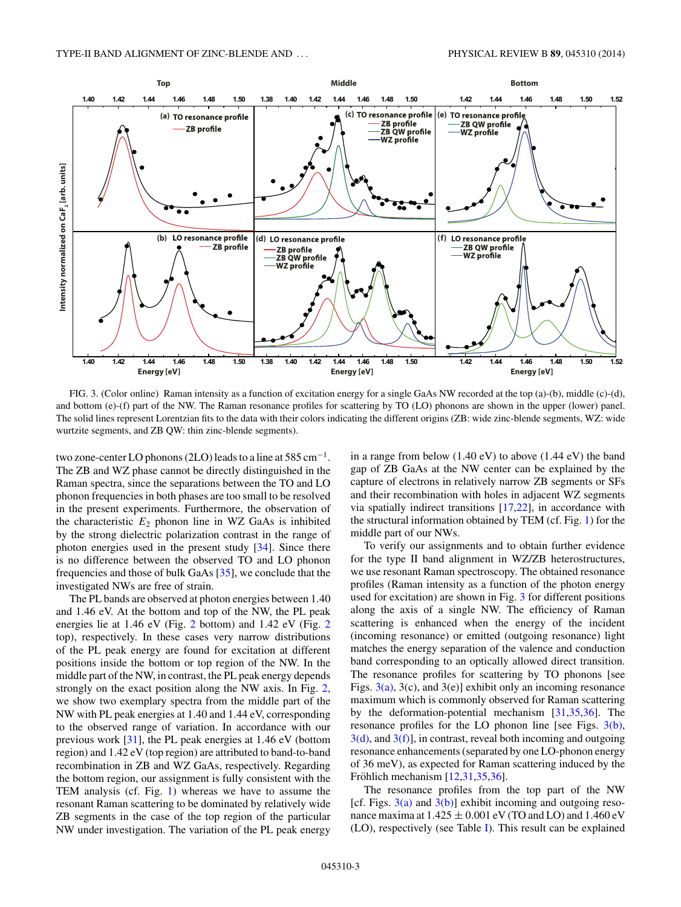<span id="page-2-0"></span>

FIG. 3. (Color online) Raman intensity as a function of excitation energy for a single GaAs NW recorded at the top (a)-(b), middle (c)-(d), and bottom (e)-(f) part of the NW. The Raman resonance profiles for scattering by TO (LO) phonons are shown in the upper (lower) panel. The solid lines represent Lorentzian fits to the data with their colors indicating the different origins (ZB: wide zinc-blende segments, WZ: wide wurtzite segments, and ZB QW: thin zinc-blende segments).

two zone-center LO phonons (2LO) leads to a line at  $585 \text{ cm}^{-1}$ . The ZB and WZ phase cannot be directly distinguished in the Raman spectra, since the separations between the TO and LO phonon frequencies in both phases are too small to be resolved in the present experiments. Furthermore, the observation of the characteristic  $E_2$  phonon line in WZ GaAs is inhibited by the strong dielectric polarization contrast in the range of photon energies used in the present study [\[34\]](#page-4-0). Since there is no difference between the observed TO and LO phonon frequencies and those of bulk GaAs [\[35\]](#page-4-0), we conclude that the investigated NWs are free of strain.

The PL bands are observed at photon energies between 1*.*40 and 1*.*46 eV. At the bottom and top of the NW, the PL peak energies lie at 1*.*46 eV (Fig. [2](#page-1-0) bottom) and 1*.*42 eV (Fig. [2](#page-1-0) top), respectively. In these cases very narrow distributions of the PL peak energy are found for excitation at different positions inside the bottom or top region of the NW. In the middle part of the NW, in contrast, the PL peak energy depends strongly on the exact position along the NW axis. In Fig. [2,](#page-1-0) we show two exemplary spectra from the middle part of the NW with PL peak energies at 1*.*40 and 1*.*44 eV, corresponding to the observed range of variation. In accordance with our previous work [\[31\]](#page-4-0), the PL peak energies at 1*.*46 eV (bottom region) and 1*.*42 eV (top region) are attributed to band-to-band recombination in ZB and WZ GaAs, respectively. Regarding the bottom region, our assignment is fully consistent with the TEM analysis (cf. Fig. [1\)](#page-1-0) whereas we have to assume the resonant Raman scattering to be dominated by relatively wide ZB segments in the case of the top region of the particular NW under investigation. The variation of the PL peak energy

in a range from below (1*.*40 eV) to above (1*.*44 eV) the band gap of ZB GaAs at the NW center can be explained by the capture of electrons in relatively narrow ZB segments or SFs and their recombination with holes in adjacent WZ segments via spatially indirect transitions  $[17,22]$ , in accordance with the structural information obtained by TEM (cf. Fig. [1\)](#page-1-0) for the middle part of our NWs.

To verify our assignments and to obtain further evidence for the type II band alignment in WZ/ZB heterostructures, we use resonant Raman spectroscopy. The obtained resonance profiles (Raman intensity as a function of the photon energy used for excitation) are shown in Fig. 3 for different positions along the axis of a single NW. The efficiency of Raman scattering is enhanced when the energy of the incident (incoming resonance) or emitted (outgoing resonance) light matches the energy separation of the valence and conduction band corresponding to an optically allowed direct transition. The resonance profiles for scattering by TO phonons [see Figs.  $3(a)$ ,  $3(c)$ , and  $3(e)$ ] exhibit only an incoming resonance maximum which is commonly observed for Raman scattering by the deformation-potential mechanism [\[31,35,36\]](#page-4-0). The resonance profiles for the LO phonon line [see Figs. 3(b),  $3(d)$ , and  $3(f)$ ], in contrast, reveal both incoming and outgoing resonance enhancements (separated by one LO-phonon energy of 36 meV), as expected for Raman scattering induced by the Fröhlich mechanism  $[12,31,35,36]$  $[12,31,35,36]$ .

The resonance profiles from the top part of the NW [cf. Figs.  $3(a)$  and  $3(b)$ ] exhibit incoming and outgoing resonance maxima at  $1.425 \pm 0.001$  eV (TO and LO) and  $1.460$  eV (LO), respectively (see Table [I\)](#page-3-0). This result can be explained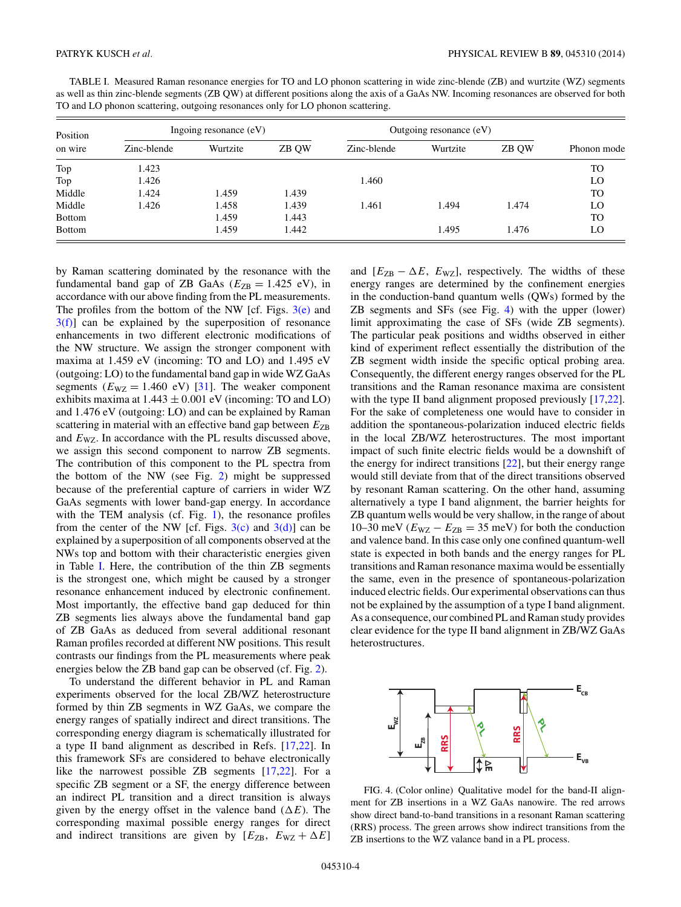<span id="page-3-0"></span>

| TABLE I. Measured Raman resonance energies for TO and LO phonon scattering in wide zinc-blende (ZB) and wurtzite (WZ) segments             |
|--------------------------------------------------------------------------------------------------------------------------------------------|
| as well as thin zinc-blende segments (ZB QW) at different positions along the axis of a GaAs NW. Incoming resonances are observed for both |
| TO and LO phonon scattering, outgoing resonances only for LO phonon scattering.                                                            |

| Position<br>on wire | Ingoing resonance $(eV)$ |          |       | Outgoing resonance (eV) |          |       |             |
|---------------------|--------------------------|----------|-------|-------------------------|----------|-------|-------------|
|                     | Zinc-blende              | Wurtzite | ZB QW | Zinc-blende             | Wurtzite | ZB OW | Phonon mode |
| Top                 | 1.423                    |          |       |                         |          |       | TO          |
| Top                 | 1.426                    |          |       | 1.460                   |          |       | LO          |
| Middle              | 1.424                    | 1.459    | 1.439 |                         |          |       | TO          |
| Middle              | 1.426                    | 1.458    | 1.439 | 1.461                   | .494     | 1.474 | LO          |
| <b>Bottom</b>       |                          | 1.459    | 1.443 |                         |          |       | TO          |
| <b>Bottom</b>       |                          | 1.459    | 1.442 |                         | 1.495    | 1.476 | LO          |

by Raman scattering dominated by the resonance with the fundamental band gap of ZB GaAs ( $E_{ZB} = 1.425$  eV), in accordance with our above finding from the PL measurements. The profiles from the bottom of the NW [cf. Figs.  $3(e)$  and  $3(f)$ ] can be explained by the superposition of resonance enhancements in two different electronic modifications of the NW structure. We assign the stronger component with maxima at 1*.*459 eV (incoming: TO and LO) and 1*.*495 eV (outgoing: LO) to the fundamental band gap in wide WZ GaAs segments ( $E_{\text{WZ}} = 1.460 \text{ eV}$ ) [\[31\]](#page-4-0). The weaker component exhibits maxima at 1*.*443 ± 0*.*001 eV (incoming: TO and LO) and 1*.*476 eV (outgoing: LO) and can be explained by Raman scattering in material with an effective band gap between  $E_{\text{ZB}}$ and  $E_{\text{WZ}}$ . In accordance with the PL results discussed above, we assign this second component to narrow ZB segments. The contribution of this component to the PL spectra from the bottom of the NW (see Fig. [2\)](#page-1-0) might be suppressed because of the preferential capture of carriers in wider WZ GaAs segments with lower band-gap energy. In accordance with the TEM analysis (cf. Fig. [1\)](#page-1-0), the resonance profiles from the center of the NW [cf. Figs.  $3(c)$  and  $3(d)$ ] can be explained by a superposition of all components observed at the NWs top and bottom with their characteristic energies given in Table I. Here, the contribution of the thin ZB segments is the strongest one, which might be caused by a stronger resonance enhancement induced by electronic confinement. Most importantly, the effective band gap deduced for thin ZB segments lies always above the fundamental band gap of ZB GaAs as deduced from several additional resonant Raman profiles recorded at different NW positions. This result contrasts our findings from the PL measurements where peak energies below the ZB band gap can be observed (cf. Fig. [2\)](#page-1-0).

To understand the different behavior in PL and Raman experiments observed for the local ZB/WZ heterostructure formed by thin ZB segments in WZ GaAs, we compare the energy ranges of spatially indirect and direct transitions. The corresponding energy diagram is schematically illustrated for a type II band alignment as described in Refs. [\[17,22\]](#page-4-0). In this framework SFs are considered to behave electronically like the narrowest possible ZB segments [\[17,22\]](#page-4-0). For a specific ZB segment or a SF, the energy difference between an indirect PL transition and a direct transition is always given by the energy offset in the valence band  $(\Delta E)$ . The corresponding maximal possible energy ranges for direct and indirect transitions are given by  $[E_{\text{ZB}} , E_{\text{WZ}} + \Delta E]$ 

and  $[E_{\text{ZB}} - \Delta E, E_{\text{WZ}}]$ , respectively. The widths of these energy ranges are determined by the confinement energies in the conduction-band quantum wells (QWs) formed by the ZB segments and SFs (see Fig. 4) with the upper (lower) limit approximating the case of SFs (wide ZB segments). The particular peak positions and widths observed in either kind of experiment reflect essentially the distribution of the ZB segment width inside the specific optical probing area. Consequently, the different energy ranges observed for the PL transitions and the Raman resonance maxima are consistent with the type II band alignment proposed previously  $[17,22]$ . For the sake of completeness one would have to consider in addition the spontaneous-polarization induced electric fields in the local ZB/WZ heterostructures. The most important impact of such finite electric fields would be a downshift of the energy for indirect transitions [\[22\]](#page-4-0), but their energy range would still deviate from that of the direct transitions observed by resonant Raman scattering. On the other hand, assuming alternatively a type I band alignment, the barrier heights for ZB quantum wells would be very shallow, in the range of about 10–30 meV ( $E_{\text{WZ}}$  −  $E_{\text{ZB}}$  = 35 meV) for both the conduction and valence band. In this case only one confined quantum-well state is expected in both bands and the energy ranges for PL transitions and Raman resonance maxima would be essentially the same, even in the presence of spontaneous-polarization induced electric fields. Our experimental observations can thus not be explained by the assumption of a type I band alignment. As a consequence, our combined PL and Raman study provides clear evidence for the type II band alignment in ZB/WZ GaAs heterostructures.



FIG. 4. (Color online) Qualitative model for the band-II alignment for ZB insertions in a WZ GaAs nanowire. The red arrows show direct band-to-band transitions in a resonant Raman scattering (RRS) process. The green arrows show indirect transitions from the ZB insertions to the WZ valance band in a PL process.